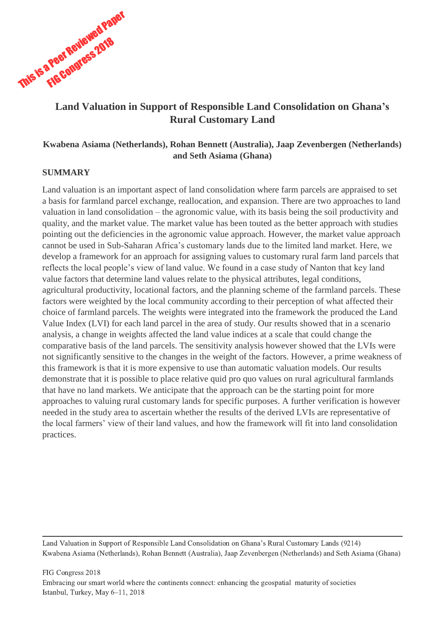

## **Land Valuation in Support of Responsible Land Consolidation on Ghana's Rural Customary Land**

## **Kwabena Asiama (Netherlands), Rohan Bennett (Australia), Jaap Zevenbergen (Netherlands) and Seth Asiama (Ghana)**

## **SUMMARY**

Land valuation is an important aspect of land consolidation where farm parcels are appraised to set a basis for farmland parcel exchange, reallocation, and expansion. There are two approaches to land valuation in land consolidation – the agronomic value, with its basis being the soil productivity and quality, and the market value. The market value has been touted as the better approach with studies pointing out the deficiencies in the agronomic value approach. However, the market value approach cannot be used in Sub-Saharan Africa's customary lands due to the limited land market. Here, we develop a framework for an approach for assigning values to customary rural farm land parcels that reflects the local people's view of land value. We found in a case study of Nanton that key land value factors that determine land values relate to the physical attributes, legal conditions, agricultural productivity, locational factors, and the planning scheme of the farmland parcels. These factors were weighted by the local community according to their perception of what affected their choice of farmland parcels. The weights were integrated into the framework the produced the Land Value Index (LVI) for each land parcel in the area of study. Our results showed that in a scenario analysis, a change in weights affected the land value indices at a scale that could change the comparative basis of the land parcels. The sensitivity analysis however showed that the LVIs were not significantly sensitive to the changes in the weight of the factors. However, a prime weakness of this framework is that it is more expensive to use than automatic valuation models. Our results demonstrate that it is possible to place relative quid pro quo values on rural agricultural farmlands that have no land markets. We anticipate that the approach can be the starting point for more approaches to valuing rural customary lands for specific purposes. A further verification is however needed in the study area to ascertain whether the results of the derived LVIs are representative of the local farmers' view of their land values, and how the framework will fit into land consolidation practices.

Land Valuation in Support of Responsible Land Consolidation on Ghana's Rural Customary Lands (9214) Kwabena Asiama (Netherlands), Rohan Bennett (Australia), Jaap Zevenbergen (Netherlands) and Seth Asiama (Ghana)